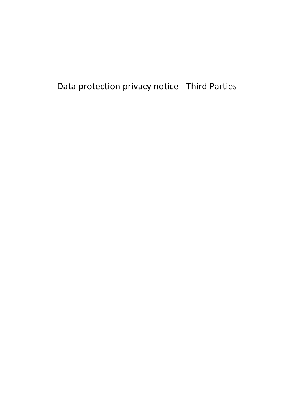Data protection privacy notice - Third Parties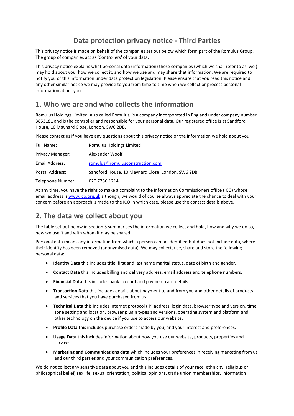# **Data protection privacy notice - Third Parties**

This privacy notice is made on behalf of the companies set out below which form part of the Romulus Group. The group of companies act as 'Controllers' of your data.

This privacy notice explains what personal data (information) these companies (which we shall refer to as 'we') may hold about you, how we collect it, and how we use and may share that information. We are required to notify you of this information under data protection legislation. Please ensure that you read this notice and any other similar notice we may provide to you from time to time when we collect or process personal information about you.

## **1. Who we are and who collects the information**

Romulus Holdings Limited, also called Romulus, is a company incorporated in England under company number 3853181 and is the controller and responsible for your personal data. Our registered office is at Sandford House, 10 Maynard Close, London, SW6 2DB.

Please contact us if you have any questions about this privacy notice or the information we hold about you.

| <b>Full Name:</b> | Romulus Holdings Limited                          |
|-------------------|---------------------------------------------------|
| Privacy Manager:  | Alexander Woolf                                   |
| Email Address:    | romulus@romulusconstruction.com                   |
| Postal Address:   | Sandford House, 10 Maynard Close, London, SW6 2DB |
| Telephone Number: | 020 7736 1214                                     |

At any time, you have the right to make a complaint to the Information Commissioners office (ICO) whose email address is [www.ico.org.uk](http://www.ico.org.uk/) although, we would of course always appreciate the chance to deal with your concern before an approach is made to the ICO in which case, please use the contact details above.

### **2. The data we collect about you**

The table set out below in section 5 summarises the information we collect and hold, how and why we do so, how we use it and with whom it may be shared.

Personal data means any information from which a person can be identified but does not include data, where their identity has been removed (anonymised data). We may collect, use, share and store the following personal data:

- **Identity Data** this includes title, first and last name marital status, date of birth and gender.
- **Contact Data** this includes billing and delivery address, email address and telephone numbers.
- **Financial Data** this includes bank account and payment card details.
- **Transaction Data** this includes details about payment to and from you and other details of products and services that you have purchased from us.
- **Technical Data** this includes internet protocol (IP) address, login data, browser type and version, time zone setting and location, browser plugin types and versions, operating system and platform and other technology on the device if you use to access our website.
- **Profile Data** this includes purchase orders made by you, and your interest and preferences.
- **Usage Data** this includes information about how you use our website, products, properties and services.
- **Marketing and Communications data** which includes your preferences in receiving marketing from us and our third parties and your communication preferences.

We do not collect any sensitive data about you and this includes details of your race, ethnicity, religious or philosophical belief, sex life, sexual orientation, political opinions, trade union memberships, information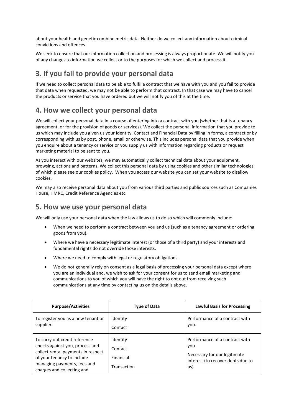about your health and genetic combine metric data. Neither do we collect any information about criminal convictions and offences.

We seek to ensure that our information collection and processing is always proportionate. We will notify you of any changes to information we collect or to the purposes for which we collect and process it.

# **3. If you fail to provide your personal data**

If we need to collect personal data to be able to fulfil a contract that we have with you and you fail to provide that data when requested, we may not be able to perform that contract. In that case we may have to cancel the products or service that you have ordered but we will notify you of this at the time.

## **4. How we collect your personal data**

We will collect your personal data in a course of entering into a contract with you (whether that is a tenancy agreement, or for the provision of goods or services). We collect the personal information that you provide to us which may include you given us your Identity, Contact and Financial Data by filling in forms, a contract or by corresponding with us by post, phone, email or otherwise. This includes personal data that you provide when you enquire about a tenancy or service or you supply us with information regarding products or request marketing material to be sent to you.

As you interact with our websites, we may automatically collect technical data about your equipment, browsing, actions and patterns. We collect this personal data by using cookies and other similar technologies of which please see our cookies policy. When you access our website you can set your website to disallow cookies.

We may also receive personal data about you from various third parties and public sources such as Companies House, HMRC, Credit Reference Agencies etc.

### **5. How we use your personal data**

We will only use your personal data when the law allows us to do so which will commonly include:

- When we need to perform a contract between you and us (such as a tenancy agreement or ordering goods from you).
- Where we have a necessary legitimate interest (or those of a third party) and your interests and fundamental rights do not override those interests.
- Where we need to comply with legal or regulatory obligations.
- We do not generally rely on consent as a legal basis of processing your personal data except where you are an individual and, we wish to ask for your consent for us to send email marketing and communications to you of which you will have the right to opt out from receiving such communications at any time by contacting us on the details above.

| <b>Purpose/Activities</b>                                                                                                                                                                         | <b>Type of Data</b>                             | <b>Lawful Basis for Processing</b>                                                                                  |
|---------------------------------------------------------------------------------------------------------------------------------------------------------------------------------------------------|-------------------------------------------------|---------------------------------------------------------------------------------------------------------------------|
| To register you as a new tenant or<br>supplier.                                                                                                                                                   | Identity<br>Contact                             | Performance of a contract with<br>vou.                                                                              |
| To carry out credit reference<br>checks against you, process and<br>collect rental payments in respect<br>of your tenancy to include<br>managing payments, fees and<br>charges and collecting and | Identity<br>Contact<br>Financial<br>Transaction | Performance of a contract with<br>you.<br>Necessary for our legitimate<br>interest (to recover debts due to<br>us). |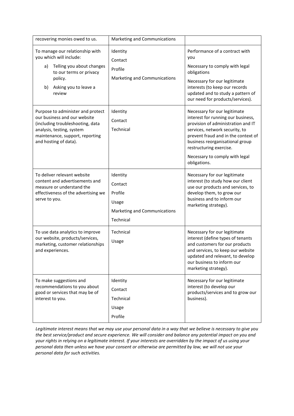| recovering monies owed to us.                                                                                                                                                                  | Marketing and Communications                                                         |                                                                                                                                                                                                                                                                                                   |
|------------------------------------------------------------------------------------------------------------------------------------------------------------------------------------------------|--------------------------------------------------------------------------------------|---------------------------------------------------------------------------------------------------------------------------------------------------------------------------------------------------------------------------------------------------------------------------------------------------|
| To manage our relationship with<br>you which will include:<br>Telling you about changes<br>a)<br>to our terms or privacy<br>policy.<br>Asking you to leave a<br>b)<br>review                   | Identity<br>Contact<br>Profile<br>Marketing and Communications                       | Performance of a contract with<br>you<br>Necessary to comply with legal<br>obligations<br>Necessary for our legitimate<br>interests (to keep our records<br>updated and to study a pattern of<br>our need for products/services).                                                                 |
| Purpose to administer and protect<br>our business and our website<br>(including troubleshooting, data<br>analysis, testing, system<br>maintenance, support, reporting<br>and hosting of data). | Identity<br>Contact<br>Technical                                                     | Necessary for our legitimate<br>interest for running our business,<br>provision of administration and IT<br>services, network security, to<br>prevent fraud and in the context of<br>business reorganisational group<br>restructuring exercise.<br>Necessary to comply with legal<br>obligations. |
| To deliver relevant website<br>content and advertisements and<br>measure or understand the<br>effectiveness of the advertising we<br>serve to you.                                             | Identity<br>Contact<br>Profile<br>Usage<br>Marketing and Communications<br>Technical | Necessary for our legitimate<br>interest (to study how our client<br>use our products and services, to<br>develop them, to grow our<br>business and to inform our<br>marketing strategy).                                                                                                         |
| To use data analytics to improve<br>our website, products/services,<br>marketing, customer relationships<br>and experiences.                                                                   | Technical<br>Usage                                                                   | Necessary for our legitimate<br>interest (define types of tenants<br>and customers for our products<br>and services, to keep our website<br>updated and relevant, to develop<br>our business to inform our<br>marketing strategy).                                                                |
| To make suggestions and<br>recommendations to you about<br>good or services that may be of<br>interest to you.                                                                                 | Identity<br>Contact<br>Technical<br>Usage<br>Profile                                 | Necessary for our legitimate<br>interest (to develop our<br>products/services and to grow our<br>business).                                                                                                                                                                                       |

*Legitimate interest means that we may use your personal data in a way that we believe is necessary to give you the best service/product and secure experience. We will consider and balance any potential impact on you and your rights in relying on a legitimate interest. If your interests are overridden by the impact of us using your personal data then unless we have your consent or otherwise are permitted by law, we will not use your personal data for such activities.*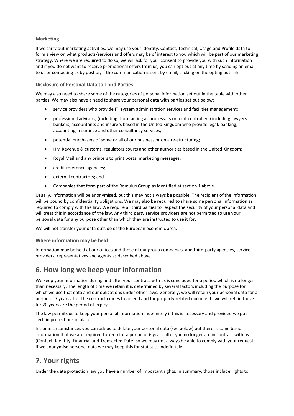#### **Marketing**

If we carry out marketing activities, we may use your Identity, Contact, Technical, Usage and Profile data to form a view on what products/services and offers may be of interest to you which will be part of our marketing strategy. Where we are required to do so, we will ask for your consent to provide you with such information and if you do not want to receive promotional offers from us, you can opt out at any time by sending an email to us or contacting us by post or, if the communication is sent by email, clicking on the opting out link.

#### **Disclosure of Personal Data to Third Parties**

We may also need to share some of the categories of personal information set out in the table with other parties. We may also have a need to share your personal data with parties set out below:

- service providers who provide IT, system administration services and facilities management;
- professional advisers, (including those acting as processors or joint controllers) including lawyers, bankers, accountants and insurers based in the United Kingdom who provide legal, banking, accounting, insurance and other consultancy services;
- potential purchasers of some or all of our business or on a re-structuring;
- HM Revenue & customs, regulators courts and other authorities based in the United Kingdom;
- Royal Mail and any printers to print postal marketing messages;
- credit reference agencies;
- external contractors; and
- Companies that form part of the Romulus Group as identified at section 1 above.

Usually, information will be anonymised, but this may not always be possible. The recipient of the information will be bound by confidentiality obligations. We may also be required to share some personal information as required to comply with the law. We require all third parties to respect the security of your personal data and will treat this in accordance of the law. Any third party service providers are not permitted to use your personal data for any purpose other than which they are instructed to use it for.

We will not transfer your data outside of the European economic area.

#### **Where information may be held**

Information may be held at our offices and those of our group companies, and third-party agencies, service providers, representatives and agents as described above.

### **6. How long we keep your information**

We keep your information during and after your contract with us is concluded for a period which is no longer than necessary. The length of time we retain it is determined by several factors including the purpose for which we use that data and our obligations under other laws. Generally, we will retain your personal data for a period of 7 years after the contract comes to an end and for property related documents we will retain these for 20 years are the period of expiry.

The law permits us to keep your personal information indefinitely if this is necessary and provided we put certain protections in place.

In some circumstances you can ask us to delete your personal data (see below) but there is some basic information that we are required to keep for a period of 6 years after you no longer are in contract with us (Contact, Identity, Financial and Transacted Date) so we may not always be able to comply with your request. If we anonymise personal data we may keep this for statistics indefinitely.

## **7. Your rights**

Under the data protection law you have a number of important rights. In summary, those include rights to: